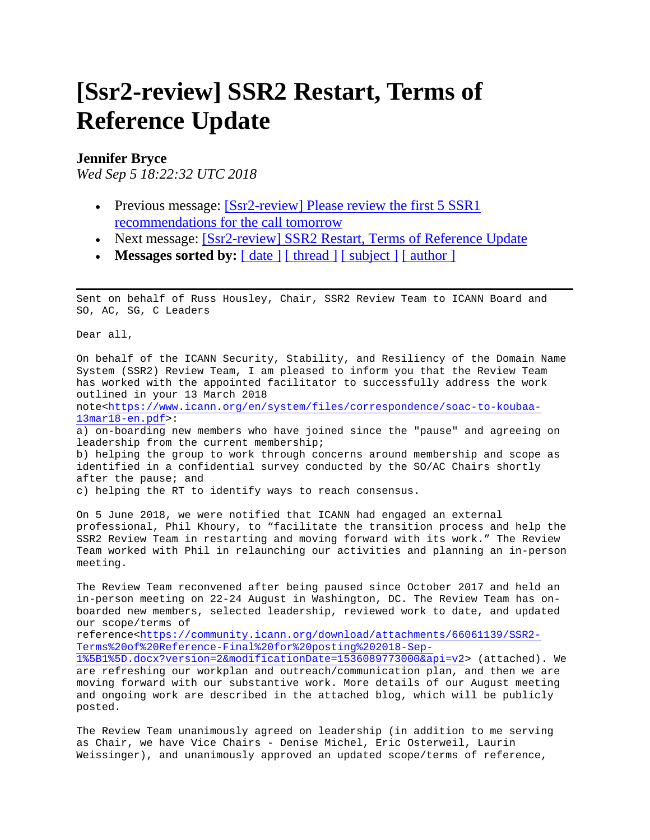# **[Ssr2-review] SSR2 Restart, Terms of Reference Update**

#### **Jennifer Bryce**

*Wed Sep 5 18:22:32 UTC 2018*

- Previous message: [Ssr2-review] Please review the first 5 SSR1 [recommendations for the call tomorrow](https://mm.icann.org/pipermail/ssr2-review/2018-September/001201.html)
- Next message: [\[Ssr2-review\] SSR2 Restart, Terms of Reference Update](https://mm.icann.org/pipermail/ssr2-review/2018-September/001171.html)
- Messages sorted by: <u>[date ] [thread ] [subject ] [author ]</u>

Sent on behalf of Russ Housley, Chair, SSR2 Review Team to ICANN Board and SO, AC, SG, C Leaders

Dear all,

On behalf of the ICANN Security, Stability, and Resiliency of the Domain Name System (SSR2) Review Team, I am pleased to inform you that the Review Team has worked with the appointed facilitator to successfully address the work outlined in your 13 March 2018 note[<https://www.icann.org/en/system/files/correspondence/soac-to-koubaa-](https://www.icann.org/en/system/files/correspondence/soac-to-koubaa-13mar18-en.pdf)[13mar18-en.pdf>](https://www.icann.org/en/system/files/correspondence/soac-to-koubaa-13mar18-en.pdf): a) on-boarding new members who have joined since the "pause" and agreeing on leadership from the current membership; b) helping the group to work through concerns around membership and scope as identified in a confidential survey conducted by the SO/AC Chairs shortly after the pause; and c) helping the RT to identify ways to reach consensus.

On 5 June 2018, we were notified that ICANN had engaged an external professional, Phil Khoury, to "facilitate the transition process and help the SSR2 Review Team in restarting and moving forward with its work." The Review Team worked with Phil in relaunching our activities and planning an in-person meeting.

The Review Team reconvened after being paused since October 2017 and held an in-person meeting on 22-24 August in Washington, DC. The Review Team has onboarded new members, selected leadership, reviewed work to date, and updated our scope/terms of

reference[<https://community.icann.org/download/attachments/66061139/SSR2-](https://community.icann.org/download/attachments/66061139/SSR2-Terms%20of%20Reference-Final%20for%20posting%202018-Sep-1%5B1%5D.docx?version=2&modificationDate=1536089773000&api=v2) [Terms%20of%20Reference-Final%20for%20posting%202018-Sep-](https://community.icann.org/download/attachments/66061139/SSR2-Terms%20of%20Reference-Final%20for%20posting%202018-Sep-1%5B1%5D.docx?version=2&modificationDate=1536089773000&api=v2)

[1%5B1%5D.docx?version=2&modificationDate=1536089773000&api=v2>](https://community.icann.org/download/attachments/66061139/SSR2-Terms%20of%20Reference-Final%20for%20posting%202018-Sep-1%5B1%5D.docx?version=2&modificationDate=1536089773000&api=v2) (attached). We are refreshing our workplan and outreach/communication plan, and then we are moving forward with our substantive work. More details of our August meeting and ongoing work are described in the attached blog, which will be publicly posted.

The Review Team unanimously agreed on leadership (in addition to me serving as Chair, we have Vice Chairs - Denise Michel, Eric Osterweil, Laurin Weissinger), and unanimously approved an updated scope/terms of reference,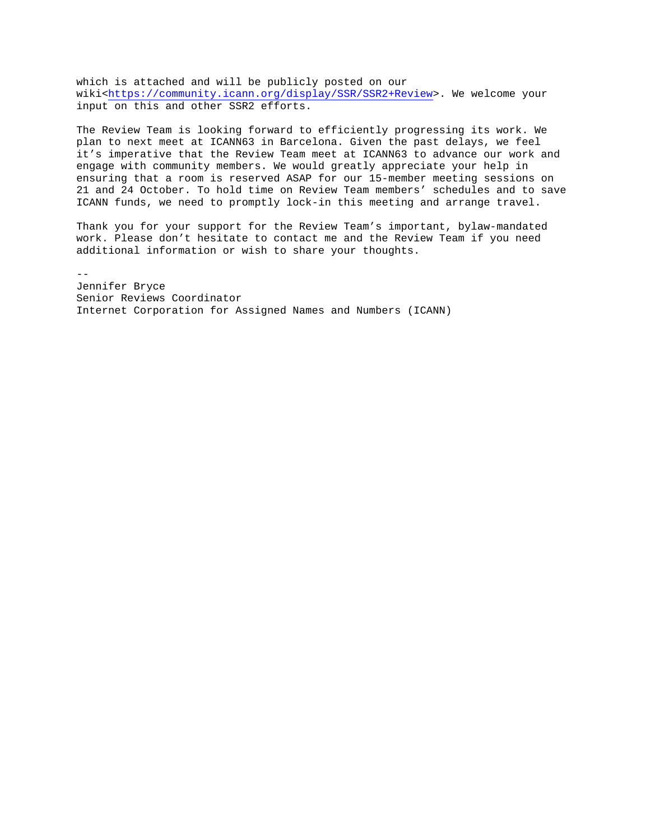which is attached and will be publicly posted on our wiki[<https://community.icann.org/display/SSR/SSR2+Review>](https://community.icann.org/display/SSR/SSR2+Review). We welcome your input on this and other SSR2 efforts.

The Review Team is looking forward to efficiently progressing its work. We plan to next meet at ICANN63 in Barcelona. Given the past delays, we feel it's imperative that the Review Team meet at ICANN63 to advance our work and engage with community members. We would greatly appreciate your help in ensuring that a room is reserved ASAP for our 15-member meeting sessions on 21 and 24 October. To hold time on Review Team members' schedules and to save ICANN funds, we need to promptly lock-in this meeting and arrange travel.

Thank you for your support for the Review Team's important, bylaw-mandated work. Please don't hesitate to contact me and the Review Team if you need additional information or wish to share your thoughts.

-- Jennifer Bryce Senior Reviews Coordinator Internet Corporation for Assigned Names and Numbers (ICANN)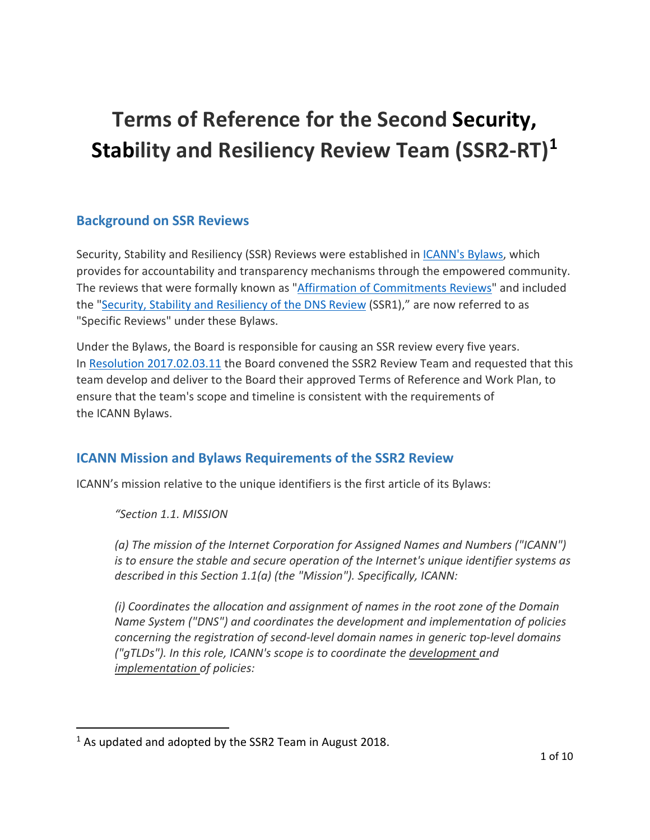# **Terms of Reference for the Second Security, Stability and Resiliency Review Team (SSR2-RT) [1](#page-2-0)**

# **Background on SSR Reviews**

Security, Stability and Resiliency (SSR) Reviews were established in *ICANN's Bylaws*, which provides for accountability and transparency mechanisms through the empowered community. The reviews that were formally known as ["Affirmation of Commitments Reviews"](https://www.icann.org/resources/reviews/specific-reviews) and included the ["Security, Stability and Resiliency of the DNS Review](https://community.icann.org/display/SSR/SSR1+Review) (SSR1)," are now referred to as "Specific Reviews" under these Bylaws.

Under the Bylaws, the Board is responsible for causing an SSR review every five years. In [Resolution 2017.02.03.11](https://www.icann.org/resources/board-material/resolutions-2017-02-03-en#1.g) the Board convened the SSR2 Review Team and requested that this team develop and deliver to the Board their approved Terms of Reference and Work Plan, to ensure that the team's scope and timeline is consistent with the requirements of the ICANN Bylaws.

# **ICANN Mission and Bylaws Requirements of the SSR2 Review**

ICANN's mission relative to the unique identifiers is the first article of its Bylaws:

*"Section 1.1. MISSION*

*(a) The mission of the Internet Corporation for Assigned Names and Numbers ("ICANN") is to ensure the stable and secure operation of the Internet's unique identifier systems as described in this Section 1.1(a) (the "Mission"). Specifically, ICANN:*

*(i) Coordinates the allocation and assignment of names in the root zone of the Domain Name System ("DNS") and coordinates the development and implementation of policies concerning the registration of second-level domain names in generic top-level domains ("gTLDs"). In this role, ICANN's scope is to coordinate the development and implementation of policies:*

<span id="page-2-0"></span> $1$  As updated and adopted by the SSR2 Team in August 2018.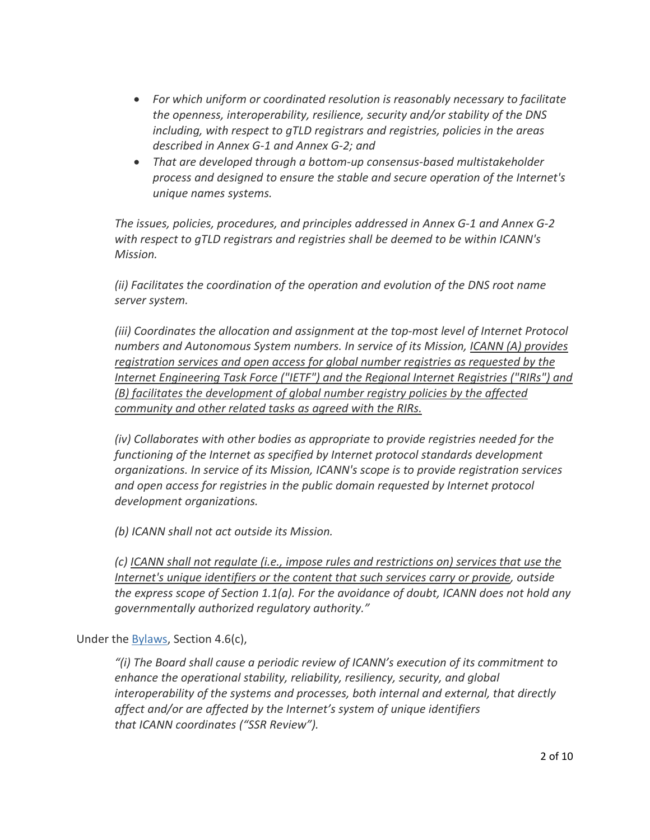- *For which uniform or coordinated resolution is reasonably necessary to facilitate the openness, interoperability, resilience, security and/or stability of the DNS including, with respect to gTLD registrars and registries, policies in the areas described in Annex G-1 and Annex G-2; and*
- *That are developed through a bottom-up consensus-based multistakeholder process and designed to ensure the stable and secure operation of the Internet's unique names systems.*

*The issues, policies, procedures, and principles addressed in Annex G-1 and Annex G-2 with respect to gTLD registrars and registries shall be deemed to be within ICANN's Mission.* 

*(ii) Facilitates the coordination of the operation and evolution of the DNS root name server system.*

*(iii) Coordinates the allocation and assignment at the top-most level of Internet Protocol numbers and Autonomous System numbers. In service of its Mission, ICANN (A) provides registration services and open access for global number registries as requested by the Internet Engineering Task Force ("IETF") and the Regional Internet Registries ("RIRs") and (B) facilitates the development of global number registry policies by the affected community and other related tasks as agreed with the RIRs.*

*(iv) Collaborates with other bodies as appropriate to provide registries needed for the functioning of the Internet as specified by Internet protocol standards development organizations. In service of its Mission, ICANN's scope is to provide registration services and open access for registries in the public domain requested by Internet protocol development organizations.*

*(b) ICANN shall not act outside its Mission.*

*(c) ICANN shall not regulate (i.e., impose rules and restrictions on) services that use the Internet's unique identifiers or the content that such services carry or provide, outside the express scope of Section 1.1(a). For the avoidance of doubt, ICANN does not hold any governmentally authorized regulatory authority."*

Under the [Bylaws,](https://www.icann.org/resources/pages/governance/bylaws-en) Section 4.6(c),

*"(i) The Board shall cause a periodic review of ICANN's execution of its commitment to enhance the operational stability, reliability, resiliency, security, and global interoperability of the systems and processes, both internal and external, that directly affect and/or are affected by the Internet's system of unique identifiers that ICANN coordinates ("SSR Review").*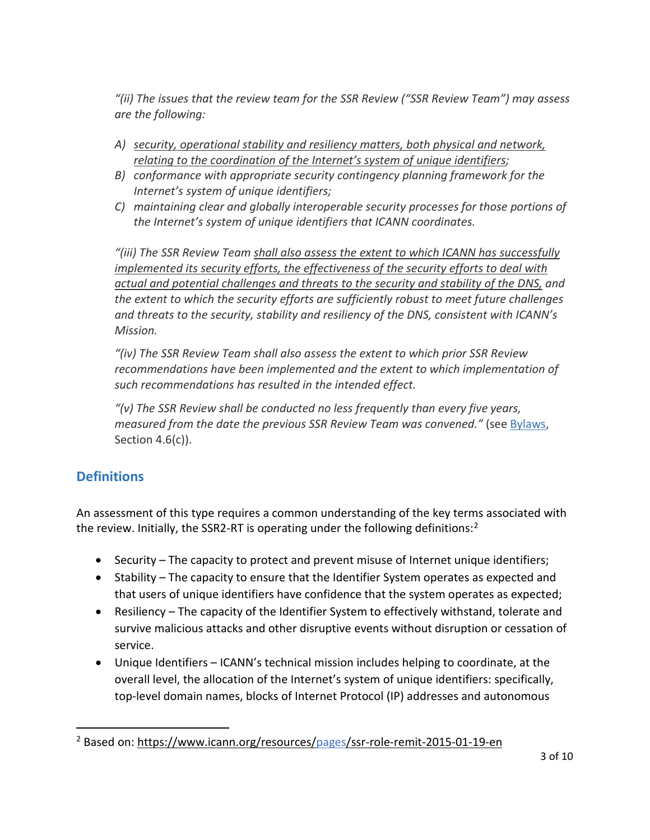*"(ii) The issues that the review team for the SSR Review ("SSR Review Team") may assess are the following:*

- *A) security, operational stability and resiliency matters, both physical and network, relating to the coordination of the Internet's system of unique identifiers;*
- *B) conformance with appropriate security contingency planning framework for the Internet's system of unique identifiers;*
- *C) maintaining clear and globally interoperable security processes for those portions of the Internet's system of unique identifiers that ICANN coordinates.*

*"(iii) The SSR Review Team shall also assess the extent to which ICANN has successfully implemented its security efforts, the effectiveness of the security efforts to deal with actual and potential challenges and threats to the security and stability of the DNS, and the extent to which the security efforts are sufficiently robust to meet future challenges and threats to the security, stability and resiliency of the DNS, consistent with ICANN's Mission.*

*"(iv) The SSR Review Team shall also assess the extent to which prior SSR Review recommendations have been implemented and the extent to which implementation of such recommendations has resulted in the intended effect.*

*"(v) The SSR Review shall be conducted no less frequently than every five years, measured from the date the previous SSR Review Team was convened."* (see [Bylaws,](https://www.icann.org/resources/pages/governance/bylaws-en) Section 4.6(c)).

# **Definitions**

An assessment of this type requires a common understanding of the key terms associated with the review. Initially, the SSR[2](#page-4-0)-RT is operating under the following definitions:<sup>2</sup>

- Security The capacity to protect and prevent misuse of Internet unique identifiers;
- Stability The capacity to ensure that the Identifier System operates as expected and that users of unique identifiers have confidence that the system operates as expected;
- Resiliency The capacity of the Identifier System to effectively withstand, tolerate and survive malicious attacks and other disruptive events without disruption or cessation of service.
- Unique Identifiers ICANN's technical mission includes helping to coordinate, at the overall level, the allocation of the Internet's system of unique identifiers: specifically, top-level domain names, blocks of Internet Protocol (IP) addresses and autonomous

<span id="page-4-0"></span><sup>&</sup>lt;sup>2</sup> Based on:<https://www.icann.org/resources/pages/ssr-role-remit-2015-01-19-en>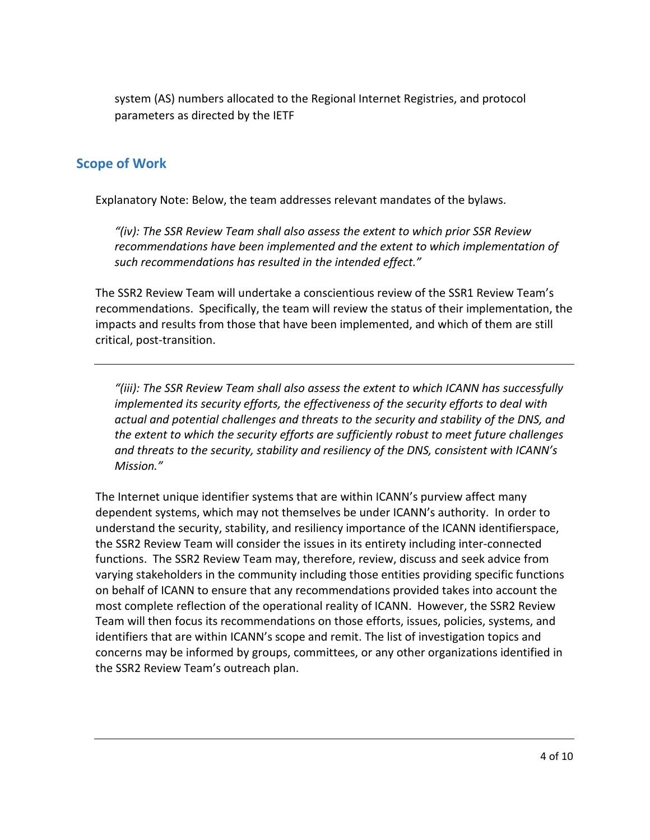system (AS) numbers allocated to the Regional Internet Registries, and protocol parameters as directed by the IETF

### **Scope of Work**

Explanatory Note: Below, the team addresses relevant mandates of the bylaws.

*"(iv): The SSR Review Team shall also assess the extent to which prior SSR Review recommendations have been implemented and the extent to which implementation of such recommendations has resulted in the intended effect."*

The SSR2 Review Team will undertake a conscientious review of the SSR1 Review Team's recommendations. Specifically, the team will review the status of their implementation, the impacts and results from those that have been implemented, and which of them are still critical, post-transition.

*"(iii): The SSR Review Team shall also assess the extent to which ICANN has successfully implemented its security efforts, the effectiveness of the security efforts to deal with actual and potential challenges and threats to the security and stability of the DNS, and the extent to which the security efforts are sufficiently robust to meet future challenges and threats to the security, stability and resiliency of the DNS, consistent with ICANN's Mission."*

The Internet unique identifier systems that are within ICANN's purview affect many dependent systems, which may not themselves be under ICANN's authority. In order to understand the security, stability, and resiliency importance of the ICANN identifierspace, the SSR2 Review Team will consider the issues in its entirety including inter-connected functions. The SSR2 Review Team may, therefore, review, discuss and seek advice from varying stakeholders in the community including those entities providing specific functions on behalf of ICANN to ensure that any recommendations provided takes into account the most complete reflection of the operational reality of ICANN. However, the SSR2 Review Team will then focus its recommendations on those efforts, issues, policies, systems, and identifiers that are within ICANN's scope and remit. The list of investigation topics and concerns may be informed by groups, committees, or any other organizations identified in the SSR2 Review Team's outreach plan.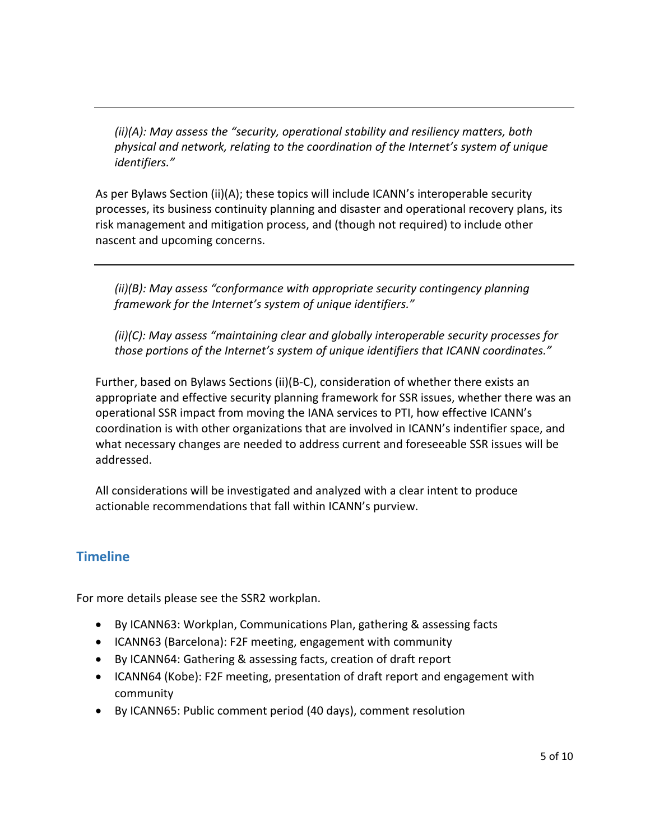*(ii)(A): May assess the "security, operational stability and resiliency matters, both physical and network, relating to the coordination of the Internet's system of unique identifiers."*

As per Bylaws Section (ii)(A); these topics will include ICANN's interoperable security processes, its business continuity planning and disaster and operational recovery plans, its risk management and mitigation process, and (though not required) to include other nascent and upcoming concerns.

*(ii)(B): May assess "conformance with appropriate security contingency planning framework for the Internet's system of unique identifiers."*

*(ii)(C): May assess "maintaining clear and globally interoperable security processes for those portions of the Internet's system of unique identifiers that ICANN coordinates."*

Further, based on Bylaws Sections (ii)(B-C), consideration of whether there exists an appropriate and effective security planning framework for SSR issues, whether there was an operational SSR impact from moving the IANA services to PTI, how effective ICANN's coordination is with other organizations that are involved in ICANN's indentifier space, and what necessary changes are needed to address current and foreseeable SSR issues will be addressed.

All considerations will be investigated and analyzed with a clear intent to produce actionable recommendations that fall within ICANN's purview.

# **Timeline**

For more details please see the SSR2 workplan.

- By ICANN63: Workplan, Communications Plan, gathering & assessing facts
- ICANN63 (Barcelona): F2F meeting, engagement with community
- By ICANN64: Gathering & assessing facts, creation of draft report
- ICANN64 (Kobe): F2F meeting, presentation of draft report and engagement with community
- By ICANN65: Public comment period (40 days), comment resolution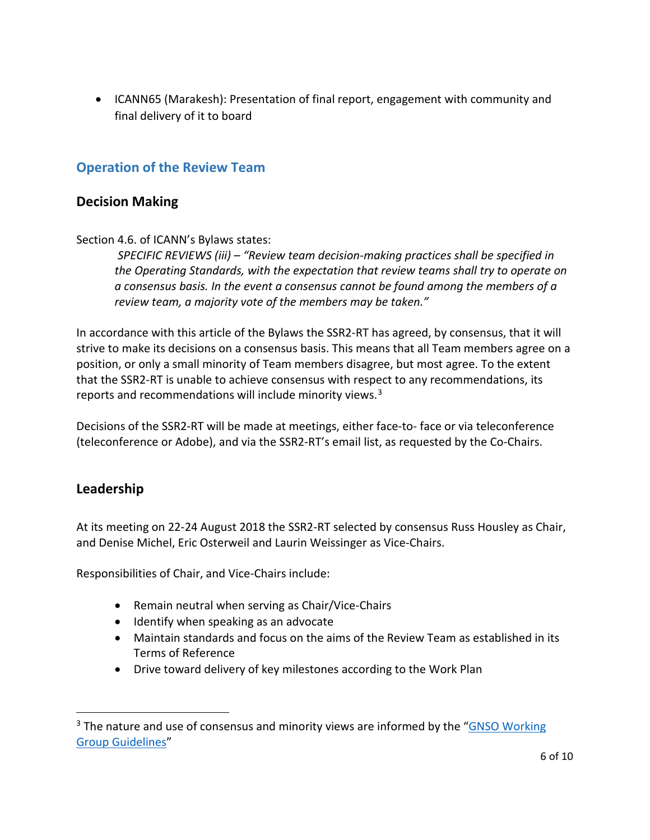• ICANN65 (Marakesh): Presentation of final report, engagement with community and final delivery of it to board

## **Operation of the Review Team**

#### **Decision Making**

Section 4.6. of ICANN's Bylaws states:

*SPECIFIC REVIEWS (iii) – "Review team decision-making practices shall be specified in the Operating Standards, with the expectation that review teams shall try to operate on a consensus basis. In the event a consensus cannot be found among the members of a review team, a majority vote of the members may be taken."*

In accordance with this article of the Bylaws the SSR2-RT has agreed, by consensus, that it will strive to make its decisions on a consensus basis. This means that all Team members agree on a position, or only a small minority of Team members disagree, but most agree. To the extent that the SSR2-RT is unable to achieve consensus with respect to any recommendations, its reports and recommendations will include minority views.<sup>[3](#page-7-0)</sup>

Decisions of the SSR2-RT will be made at meetings, either face-to- face or via teleconference (teleconference or Adobe), and via the SSR2-RT's email list, as requested by the Co-Chairs.

#### **Leadership**

At its meeting on 22-24 August 2018 the SSR2-RT selected by consensus Russ Housley as Chair, and Denise Michel, Eric Osterweil and Laurin Weissinger as Vice-Chairs.

Responsibilities of Chair, and Vice-Chairs include:

- Remain neutral when serving as Chair/Vice-Chairs
- Identify when speaking as an advocate
- Maintain standards and focus on the aims of the Review Team as established in its Terms of Reference
- Drive toward delivery of key milestones according to the Work Plan

<span id="page-7-0"></span><sup>&</sup>lt;sup>3</sup> The nature and use of consensus and minority views are informed by the "GNSO Working" [Group Guidelines"](https://gnso.icann.org/en/improvements/gnso-working-group-guidelines-final-10dec10-en.pdf)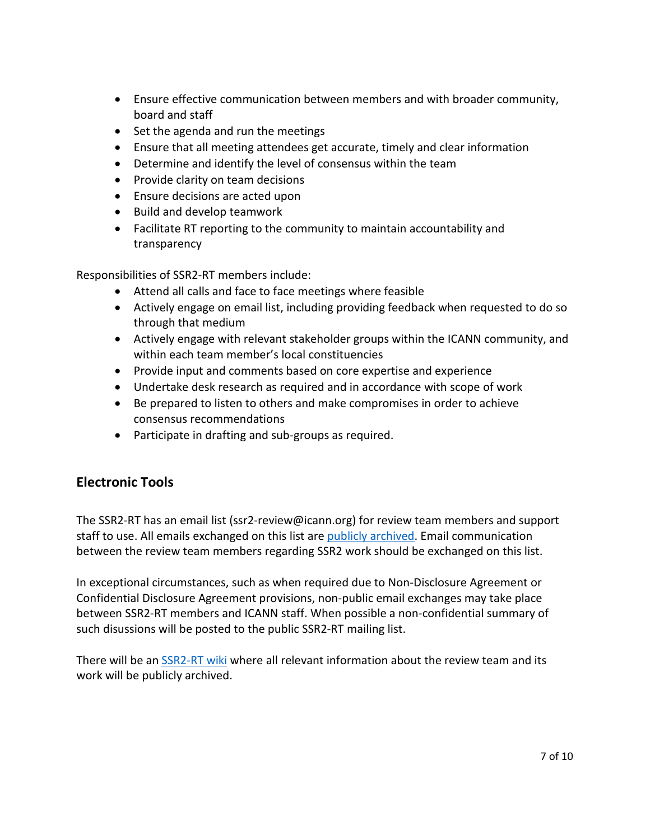- Ensure effective communication between members and with broader community, board and staff
- Set the agenda and run the meetings
- Ensure that all meeting attendees get accurate, timely and clear information
- Determine and identify the level of consensus within the team
- Provide clarity on team decisions
- Ensure decisions are acted upon
- Build and develop teamwork
- Facilitate RT reporting to the community to maintain accountability and transparency

Responsibilities of SSR2-RT members include:

- Attend all calls and face to face meetings where feasible
- Actively engage on email list, including providing feedback when requested to do so through that medium
- Actively engage with relevant stakeholder groups within the ICANN community, and within each team member's local constituencies
- Provide input and comments based on core expertise and experience
- Undertake desk research as required and in accordance with scope of work
- Be prepared to listen to others and make compromises in order to achieve consensus recommendations
- Participate in drafting and sub-groups as required.

# **Electronic Tools**

The SSR2-RT has an email list (ssr2-review@icann.org) for review team members and support staff to use. All emails exchanged on this list are [publicly archived.](https://community.icann.org/display/SSR/Email+Archives) Email communication between the review team members regarding SSR2 work should be exchanged on this list.

In exceptional circumstances, such as when required due to Non-Disclosure Agreement or Confidential Disclosure Agreement provisions, non-public email exchanges may take place between SSR2-RT members and ICANN staff. When possible a non-confidential summary of such disussions will be posted to the public SSR2-RT mailing list.

There will be an [SSR2-RT wiki](https://community.icann.org/display/SSR/SSR2+Review) where all relevant information about the review team and its work will be publicly archived.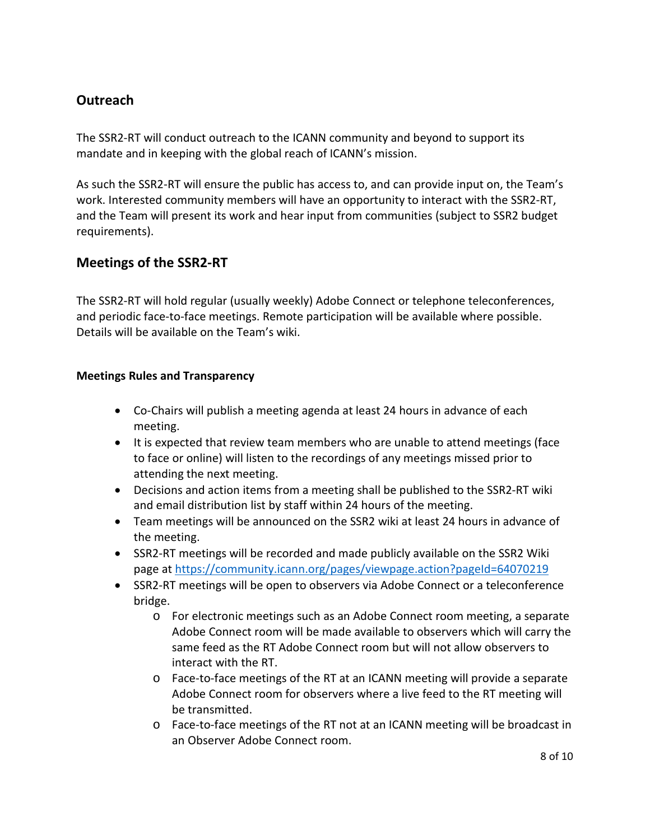# **Outreach**

The SSR2-RT will conduct outreach to the ICANN community and beyond to support its mandate and in keeping with the global reach of ICANN's mission.

As such the SSR2-RT will ensure the public has access to, and can provide input on, the Team's work. Interested community members will have an opportunity to interact with the SSR2-RT, and the Team will present its work and hear input from communities (subject to SSR2 budget requirements).

## **Meetings of the SSR2-RT**

The SSR2-RT will hold regular (usually weekly) Adobe Connect or telephone teleconferences, and periodic face-to-face meetings. Remote participation will be available where possible. Details will be available on the Team's wiki.

#### **Meetings Rules and Transparency**

- Co-Chairs will publish a meeting agenda at least 24 hours in advance of each meeting.
- It is expected that review team members who are unable to attend meetings (face to face or online) will listen to the recordings of any meetings missed prior to attending the next meeting.
- Decisions and action items from a meeting shall be published to the SSR2-RT wiki and email distribution list by staff within 24 hours of the meeting.
- Team meetings will be announced on the SSR2 wiki at least 24 hours in advance of the meeting.
- SSR2-RT meetings will be recorded and made publicly available on the SSR2 Wiki page at<https://community.icann.org/pages/viewpage.action?pageId=64070219>
- SSR2-RT meetings will be open to observers via Adobe Connect or a teleconference bridge.
	- o For electronic meetings such as an Adobe Connect room meeting, a separate Adobe Connect room will be made available to observers which will carry the same feed as the RT Adobe Connect room but will not allow observers to interact with the RT.
	- o Face-to-face meetings of the RT at an ICANN meeting will provide a separate Adobe Connect room for observers where a live feed to the RT meeting will be transmitted.
	- o Face-to-face meetings of the RT not at an ICANN meeting will be broadcast in an Observer Adobe Connect room.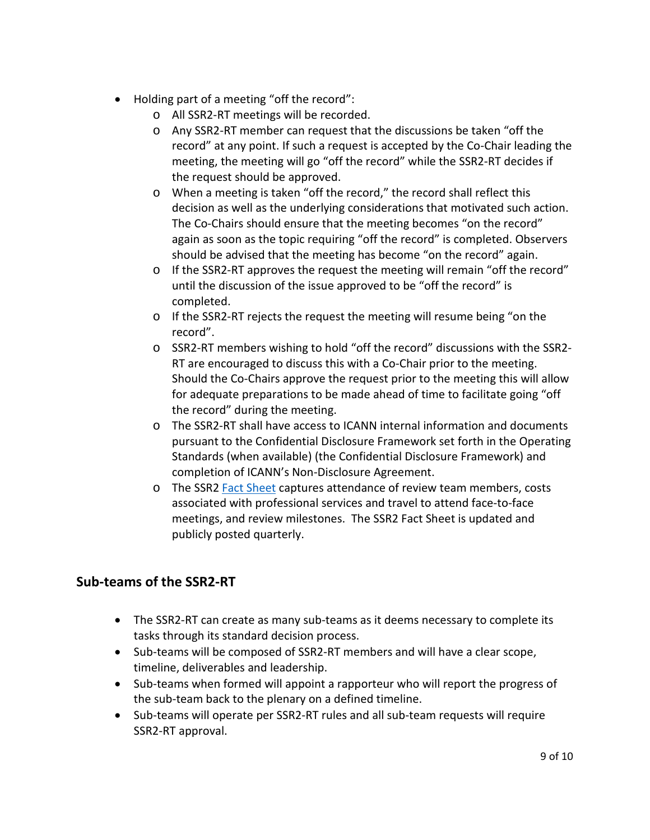- Holding part of a meeting "off the record":
	- o All SSR2-RT meetings will be recorded.
	- o Any SSR2-RT member can request that the discussions be taken "off the record" at any point. If such a request is accepted by the Co-Chair leading the meeting, the meeting will go "off the record" while the SSR2-RT decides if the request should be approved.
	- o When a meeting is taken "off the record," the record shall reflect this decision as well as the underlying considerations that motivated such action. The Co-Chairs should ensure that the meeting becomes "on the record" again as soon as the topic requiring "off the record" is completed. Observers should be advised that the meeting has become "on the record" again.
	- $\circ$  If the SSR2-RT approves the request the meeting will remain "off the record" until the discussion of the issue approved to be "off the record" is completed.
	- o If the SSR2-RT rejects the request the meeting will resume being "on the record".
	- o SSR2-RT members wishing to hold "off the record" discussions with the SSR2- RT are encouraged to discuss this with a Co-Chair prior to the meeting. Should the Co-Chairs approve the request prior to the meeting this will allow for adequate preparations to be made ahead of time to facilitate going "off the record" during the meeting.
	- o The SSR2-RT shall have access to ICANN internal information and documents pursuant to the Confidential Disclosure Framework set forth in the Operating Standards (when available) (the Confidential Disclosure Framework) and completion of ICANN's Non-Disclosure Agreement.
	- o The SSR2 [Fact Sheet](https://community.icann.org/display/SSR/Fact+Sheet) captures attendance of review team members, costs associated with professional services and travel to attend face-to-face meetings, and review milestones. The SSR2 Fact Sheet is updated and publicly posted quarterly.

# **Sub-teams of the SSR2-RT**

- The SSR2-RT can create as many sub-teams as it deems necessary to complete its tasks through its standard decision process.
- Sub-teams will be composed of SSR2-RT members and will have a clear scope, timeline, deliverables and leadership.
- Sub-teams when formed will appoint a rapporteur who will report the progress of the sub-team back to the plenary on a defined timeline.
- Sub-teams will operate per SSR2-RT rules and all sub-team requests will require SSR2-RT approval.